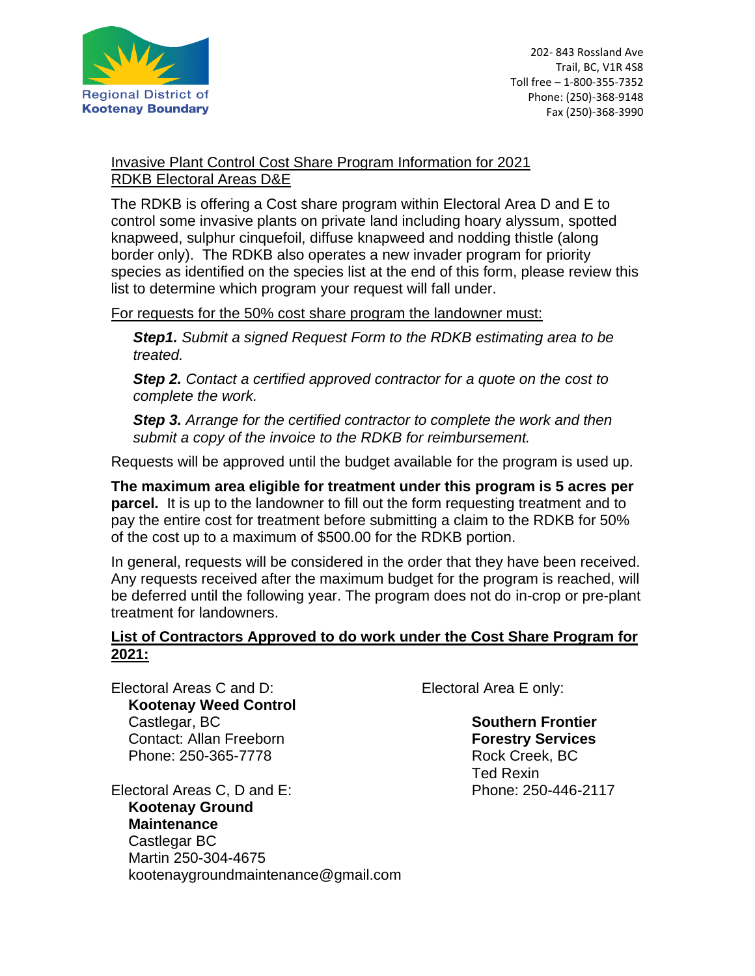

## Invasive Plant Control Cost Share Program Information for 2021 RDKB Electoral Areas D&E

The RDKB is offering a Cost share program within Electoral Area D and E to control some invasive plants on private land including hoary alyssum, spotted knapweed, sulphur cinquefoil, diffuse knapweed and nodding thistle (along border only). The RDKB also operates a new invader program for priority species as identified on the species list at the end of this form, please review this list to determine which program your request will fall under.

For requests for the 50% cost share program the landowner must:

*Step1. Submit a signed Request Form to the RDKB estimating area to be treated.*

*Step 2. Contact a certified approved contractor for a quote on the cost to complete the work.* 

*Step 3. Arrange for the certified contractor to complete the work and then submit a copy of the invoice to the RDKB for reimbursement.*

Requests will be approved until the budget available for the program is used up.

**The maximum area eligible for treatment under this program is 5 acres per parcel.** It is up to the landowner to fill out the form requesting treatment and to pay the entire cost for treatment before submitting a claim to the RDKB for 50% of the cost up to a maximum of \$500.00 for the RDKB portion.

In general, requests will be considered in the order that they have been received. Any requests received after the maximum budget for the program is reached, will be deferred until the following year. The program does not do in-crop or pre-plant treatment for landowners.

## **List of Contractors Approved to do work under the Cost Share Program for 2021:**

Electoral Areas C and D: Electoral Area E only: **Kootenay Weed Control** Castlegar, BC Contact: Allan Freeborn Phone: 250-365-7778

Electoral Areas C, D and E: **Kootenay Ground Maintenance** Castlegar BC Martin 250-304-4675 kootenaygroundmaintenance@gmail.com

**Southern Frontier Forestry Services** Rock Creek, BC Ted Rexin Phone: 250-446-2117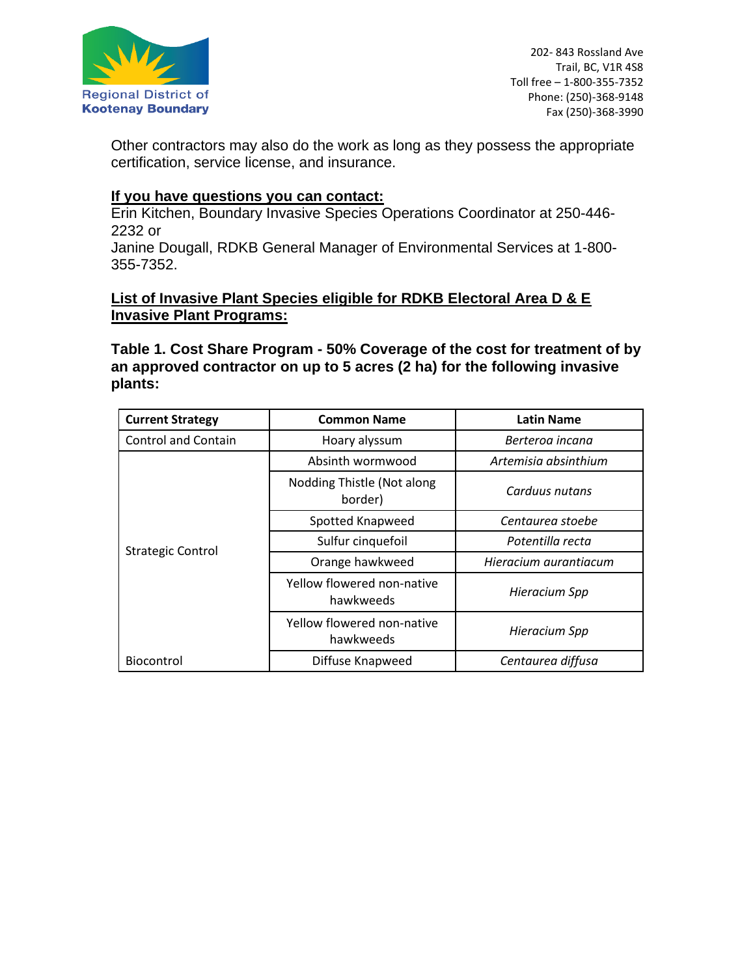

202- 843 Rossland Ave Trail, BC, V1R 4S8 Toll free – 1-800-355-7352 Phone: (250)-368-9148 Fax (250)-368-3990

Other contractors may also do the work as long as they possess the appropriate certification, service license, and insurance.

#### **If you have questions you can contact:**

Erin Kitchen, Boundary Invasive Species Operations Coordinator at 250-446- 2232 or

Janine Dougall, RDKB General Manager of Environmental Services at 1-800- 355-7352.

## **List of Invasive Plant Species eligible for RDKB Electoral Area D & E Invasive Plant Programs:**

**Table 1. Cost Share Program - 50% Coverage of the cost for treatment of by an approved contractor on up to 5 acres (2 ha) for the following invasive plants:**

| <b>Current Strategy</b>    | <b>Common Name</b>                      | <b>Latin Name</b>     |
|----------------------------|-----------------------------------------|-----------------------|
| <b>Control and Contain</b> | Hoary alyssum                           | Berteroa incana       |
| <b>Strategic Control</b>   | Absinth wormwood                        | Artemisia absinthium  |
|                            | Nodding Thistle (Not along<br>border)   | Carduus nutans        |
|                            | Spotted Knapweed                        | Centaurea stoebe      |
|                            | Sulfur cinquefoil                       | Potentilla recta      |
|                            | Orange hawkweed                         | Hieracium aurantiacum |
|                            | Yellow flowered non-native<br>hawkweeds | Hieracium Spp         |
|                            | Yellow flowered non-native<br>hawkweeds | Hieracium Spp         |
| <b>Biocontrol</b>          | Diffuse Knapweed                        | Centaurea diffusa     |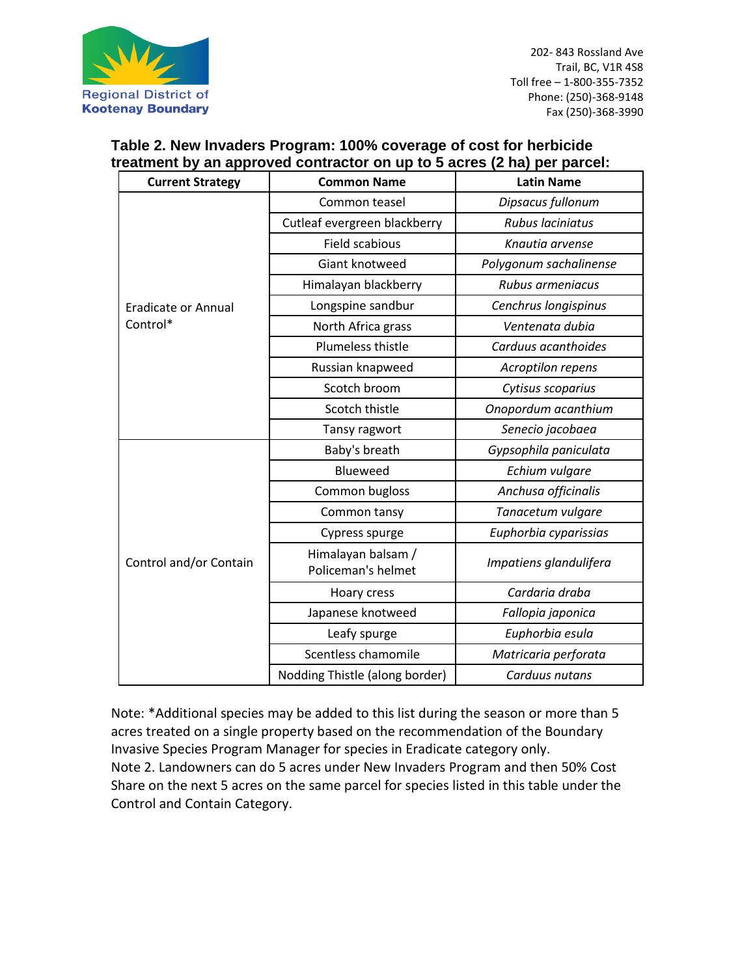

| <b>Current Strategy</b>                | <b>Common Name</b>                       | <b>Latin Name</b>      |
|----------------------------------------|------------------------------------------|------------------------|
| <b>Eradicate or Annual</b><br>Control* | Common teasel                            | Dipsacus fullonum      |
|                                        | Cutleaf evergreen blackberry             | Rubus laciniatus       |
|                                        | Field scabious                           | Knautia arvense        |
|                                        | Giant knotweed                           | Polygonum sachalinense |
|                                        | Himalayan blackberry                     | Rubus armeniacus       |
|                                        | Longspine sandbur                        | Cenchrus longispinus   |
|                                        | North Africa grass                       | Ventenata dubia        |
|                                        | Plumeless thistle                        | Carduus acanthoides    |
|                                        | Russian knapweed                         | Acroptilon repens      |
|                                        | Scotch broom                             | Cytisus scoparius      |
|                                        | Scotch thistle                           | Onopordum acanthium    |
|                                        | Tansy ragwort                            | Senecio jacobaea       |
| Control and/or Contain                 | Baby's breath                            | Gypsophila paniculata  |
|                                        | Blueweed                                 | Echium vulgare         |
|                                        | Common bugloss                           | Anchusa officinalis    |
|                                        | Common tansy                             | Tanacetum vulgare      |
|                                        | Cypress spurge                           | Euphorbia cyparissias  |
|                                        | Himalayan balsam /<br>Policeman's helmet | Impatiens glandulifera |
|                                        | Hoary cress                              | Cardaria draba         |
|                                        | Japanese knotweed                        | Fallopia japonica      |
|                                        | Leafy spurge                             | Euphorbia esula        |
|                                        | Scentless chamomile                      | Matricaria perforata   |
|                                        | Nodding Thistle (along border)           | Carduus nutans         |

# **Table 2. New Invaders Program: 100% coverage of cost for herbicide treatment by an approved contractor on up to 5 acres (2 ha) per parcel:**

Note: \*Additional species may be added to this list during the season or more than 5 acres treated on a single property based on the recommendation of the Boundary Invasive Species Program Manager for species in Eradicate category only. Note 2. Landowners can do 5 acres under New Invaders Program and then 50% Cost Share on the next 5 acres on the same parcel for species listed in this table under the Control and Contain Category.